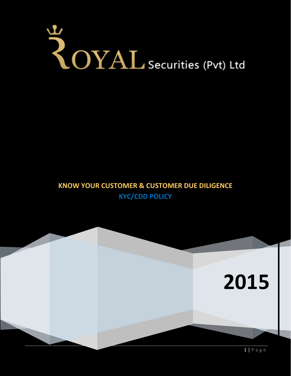# YOYAL Securities (Pvt) Ltd

# **KNOW YOUR CUSTOMER & CUSTOMER DUE DILIGENCE KYC/CDD POLICY**

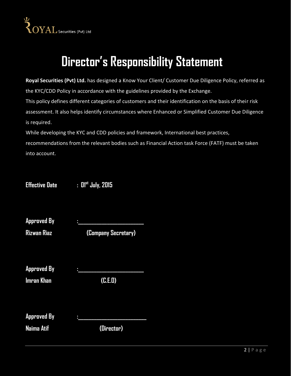

# **Director's Responsibility Statement**

**Royal Securities (Pvt) Ltd.** has designed a Know Your Client/ Customer Due Diligence Policy, referred as the KYC/CDD Policy in accordance with the guidelines provided by the Exchange.

This policy defines different categories of customers and their identification on the basis of their risk assessment. It also helps identify circumstances where Enhanced or Simplified Customer Due Diligence is required.

While developing the KYC and CDD policies and framework, International best practices, recommendations from the relevant bodies such as Financial Action task Force (FATF) must be taken into account.

**Effective Date : 01st July, 2015** 

| Approved<br>В٧ | п  |   |
|----------------|----|---|
|                |    |   |
| _              | -- | ـ |

**Rizwan Riaz (Company Secretary)**

**Approved By :\_\_\_\_\_\_\_\_\_\_\_\_\_\_\_\_\_\_\_\_\_\_\_\_\_**

**Imran Khan (C.E.O)**

**Approved By :\_\_\_\_\_\_\_\_\_\_\_\_\_\_\_\_\_\_\_\_\_\_\_\_\_\_**

**Naima Atif (Director)**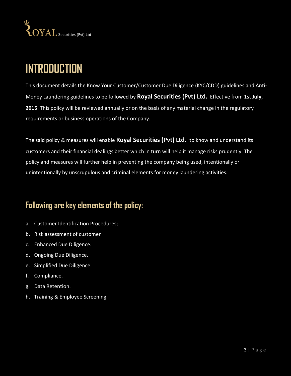

# **INTRODUCTION**

This document details the Know Your Customer/Customer Due Diligence (KYC/CDD) guidelines and Anti-Money Laundering guidelines to be followed by **Royal Securities (Pvt) Ltd.** Effective from 1st **July, 2015**. This policy will be reviewed annually or on the basis of any material change in the regulatory requirements or business operations of the Company.

The said policy & measures will enable **Royal Securities (Pvt) Ltd.** to know and understand its customers and their financial dealings better which in turn will help it manage risks prudently. The policy and measures will further help in preventing the company being used, intentionally or unintentionally by unscrupulous and criminal elements for money laundering activities.

# **Following are key elements of the policy:**

- a. Customer Identification Procedures;
- b. Risk assessment of customer
- c. Enhanced Due Diligence.
- d. Ongoing Due Diligence.
- e. Simplified Due Diligence.
- f. Compliance.
- g. Data Retention.
- h. Training & Employee Screening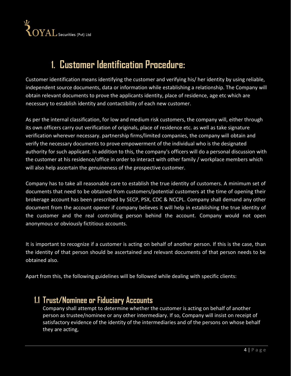$\sum_{\text{VAL securities (Pvt) Ltd}}$ 

# **1. Customer Identification Procedure:**

Customer identification means identifying the customer and verifying his/ her identity by using reliable, independent source documents, data or information while establishing a relationship. The Company will obtain relevant documents to prove the applicants identity, place of residence, age etc which are necessary to establish identity and contactibility of each new customer.

As per the internal classification, for low and medium risk customers, the company will, either through its own officers carry out verification of originals, place of residence etc. as well as take signature verification wherever necessary. partnership firms/limited companies, the company will obtain and verify the necessary documents to prove empowerment of the individual who is the designated authority for such applicant. In addition to this, the company's officers will do a personal discussion with the customer at his residence/office in order to interact with other family / workplace members which will also help ascertain the genuineness of the prospective customer.

Company has to take all reasonable care to establish the true identity of customers. A minimum set of documents that need to be obtained from customers/potential customers at the time of opening their brokerage account has been prescribed by SECP, PSX, CDC & NCCPL. Company shall demand any other document from the account opener if company believes it will help in establishing the true identity of the customer and the real controlling person behind the account. Company would not open anonymous or obviously fictitious accounts.

It is important to recognize if a customer is acting on behalf of another person. If this is the case, than the identity of that person should be ascertained and relevant documents of that person needs to be obtained also.

Apart from this, the following guidelines will be followed while dealing with specific clients:

# **1.1 Trust/Nominee or Fiduciary Accounts**

Company shall attempt to determine whether the customer is acting on behalf of another person as trustee/nominee or any other intermediary. If so, Company will insist on receipt of satisfactory evidence of the identity of the intermediaries and of the persons on whose behalf they are acting,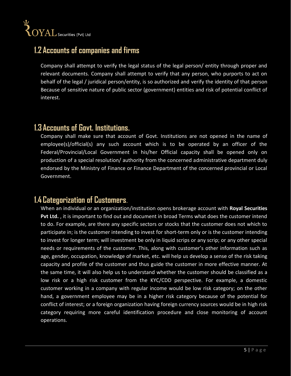# **1.2 Accounts of companies and firms**

Company shall attempt to verify the legal status of the legal person/ entity through proper and relevant documents. Company shall attempt to verify that any person, who purports to act on behalf of the legal / juridical person/entity, is so authorized and verify the identity of that person Because of sensitive nature of public sector (government) entities and risk of potential conflict of interest.

# **1.3 Accounts of Govt. Institutions.**

Company shall make sure that account of Govt. Institutions are not opened in the name of employee(s)/official(s) any such account which is to be operated by an officer of the Federal/Provincial/Local Government in his/her Official capacity shall be opened only on production of a special resolution/ authority from the concerned administrative department duly endorsed by the Ministry of Finance or Finance Department of the concerned provincial or Local Government.

# **1.4 Categorization of Customers**.

When an individual or an organization/institution opens brokerage account with **Royal Securities Pvt Ltd.** , it is important to find out and document in broad Terms what does the customer intend to do. For example, are there any specific sectors or stocks that the customer does not which to participate in; is the customer intending to invest for short-term only or is the customer intending to invest for longer term; will investment be only in liquid scrips or any scrip; or any other special needs or requirements of the customer. This, along with customer's other information such as age, gender, occupation, knowledge of market, etc. will help us develop a sense of the risk taking capacity and profile of the customer and thus guide the customer in more effective manner. At the same time, it will also help us to understand whether the customer should be classified as a low risk or a high risk customer from the KYC/CDD perspective. For example, a domestic customer working in a company with regular income would be low risk category; on the other hand, a government employee may be in a higher risk category because of the potential for conflict of interest; or a foreign organization having foreign currency sources would be in high risk category requiring more careful identification procedure and close monitoring of account operations.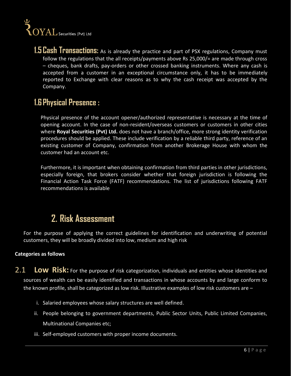# $\sum_{\text{VAL} }^{\text{L}}$  Securities (Pvt) Ltd

**1.5 Cash Transactions:** As is already the practice and part of PSX regulations, Company must follow the regulations that the all receipts/payments above Rs 25,000/= are made through cross – cheques, bank drafts, pay-orders or other crossed banking instruments. Where any cash is accepted from a customer in an exceptional circumstance only, it has to be immediately reported to Exchange with clear reasons as to why the cash receipt was accepted by the Company.

# **1.6 Physical Presence :**

Physical presence of the account opener/authorized representative is necessary at the time of opening account. In the case of non-resident/overseas customers or customers in other cities where **Royal Securities (Pvt) Ltd.** does not have a branch/office, more strong identity verification procedures should be applied. These include verification by a reliable third party, reference of an existing customer of Company, confirmation from another Brokerage House with whom the customer had an account etc.

Furthermore, it is important when obtaining confirmation from third parties in other jurisdictions, especially foreign, that brokers consider whether that foreign jurisdiction is following the Financial Action Task Force (FATF) recommendations. The list of jurisdictions following FATF recommendations is available

# **2. Risk Assessment**

For the purpose of applying the correct guidelines for identification and underwriting of potential customers, they will be broadly divided into low, medium and high risk

#### **Categories as follows**

- 2.1 **Low Risk:** For the purpose of risk categorization, individuals and entities whose identities and sources of wealth can be easily identified and transactions in whose accounts by and large conform to the known profile, shall be categorized as low risk. Illustrative examples of low risk customers are –
	- i. Salaried employees whose salary structures are well defined.
	- ii. People belonging to government departments, Public Sector Units, Public Limited Companies, Multinational Companies etc;
	- iii. Self-employed customers with proper income documents.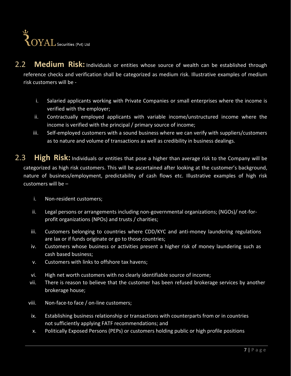

2.2 **Medium Risk:** Individuals or entities whose source of wealth can be established through reference checks and verification shall be categorized as medium risk. Illustrative examples of medium risk customers will be -

- i. Salaried applicants working with Private Companies or small enterprises where the income is verified with the employer;
- ii. Contractually employed applicants with variable income/unstructured income where the income is verified with the principal / primary source of income;
- iii. Self-employed customers with a sound business where we can verify with suppliers/customers as to nature and volume of transactions as well as credibility in business dealings.

2.3 **High Risk:** Individuals or entities that pose a higher than average risk to the Company will be categorized as high risk customers. This will be ascertained after looking at the customer's background, nature of business/employment, predictability of cash flows etc. Illustrative examples of high risk customers will be –

- i. Non-resident customers;
- ii. Legal persons or arrangements including non-governmental organizations; (NGOs)/ not-forprofit organizations (NPOs) and trusts / charities;
- iii. Customers belonging to countries where CDD/KYC and anti-money laundering regulations are lax or if funds originate or go to those countries;
- iv. Customers whose business or activities present a higher risk of money laundering such as cash based business;
- v. Customers with links to offshore tax havens;
- vi. High net worth customers with no clearly identifiable source of income;
- vii. There is reason to believe that the customer has been refused brokerage services by another brokerage house;
- viii. Non-face-to face / on-line customers;
- ix. Establishing business relationship or transactions with counterparts from or in countries not sufficiently applying FATF recommendations; and
- x. Politically Exposed Persons (PEPs) or customers holding public or high profile positions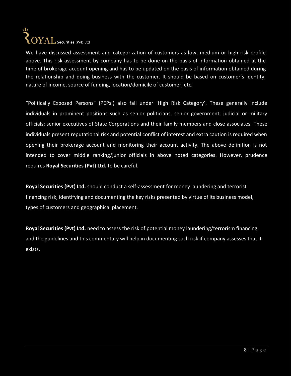# ىك  $\sum_{\text{OYAL} }$  Securities (Pvt) Ltd

We have discussed assessment and categorization of customers as low, medium or high risk profile above. This risk assessment by company has to be done on the basis of information obtained at the time of brokerage account opening and has to be updated on the basis of information obtained during the relationship and doing business with the customer. It should be based on customer's identity, nature of income, source of funding, location/domicile of customer, etc.

"Politically Exposed Persons" (PEPs') also fall under 'High Risk Category'. These generally include individuals in prominent positions such as senior politicians, senior government, judicial or military officials; senior executives of State Corporations and their family members and close associates. These individuals present reputational risk and potential conflict of interest and extra caution is required when opening their brokerage account and monitoring their account activity. The above definition is not intended to cover middle ranking/junior officials in above noted categories. However, prudence requires **Royal Securities (Pvt) Ltd.** to be careful.

**Royal Securities (Pvt) Ltd.** should conduct a self-assessment for money laundering and terrorist financing risk, identifying and documenting the key risks presented by virtue of its business model, types of customers and geographical placement.

**Royal Securities (Pvt) Ltd.** need to assess the risk of potential money laundering/terrorism financing and the guidelines and this commentary will help in documenting such risk if company assesses that it exists.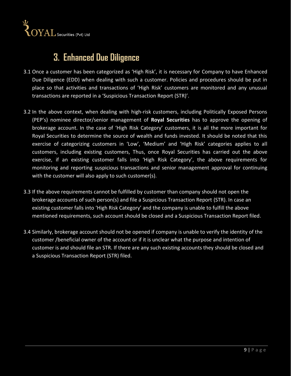

# **3. Enhanced Due Diligence**

- 3.1 Once a customer has been categorized as 'High Risk', it is necessary for Company to have Enhanced Due Diligence (EDD) when dealing with such a customer. Policies and procedures should be put in place so that activities and transactions of 'High Risk' customers are monitored and any unusual transactions are reported in a 'Suspicious Transaction Report (STR)'.
- 3.2 In the above context, when dealing with high-risk customers, including Politically Exposed Persons (PEP's) nominee director/senior management of **Royal Securities** has to approve the opening of brokerage account. In the case of 'High Risk Category' customers, it is all the more important for Royal Securities to determine the source of wealth and funds invested. It should be noted that this exercise of categorizing customers in 'Low', 'Medium' and 'High Risk' categories applies to all customers, including existing customers, Thus, once Royal Securities has carried out the above exercise, if an existing customer falls into 'High Risk Category', the above requirements for monitoring and reporting suspicious transactions and senior management approval for continuing with the customer will also apply to such customer(s).
- 3.3 If the above requirements cannot be fulfilled by customer than company should not open the brokerage accounts of such person(s) and file a Suspicious Transaction Report (STR). In case an existing customer falls into 'High Risk Category' and the company is unable to fulfill the above mentioned requirements, such account should be closed and a Suspicious Transaction Report filed.
- 3.4 Similarly, brokerage account should not be opened if company is unable to verify the identity of the customer /beneficial owner of the account or if it is unclear what the purpose and intention of customer is and should file an STR. If there are any such existing accounts they should be closed and a Suspicious Transaction Report (STR) filed.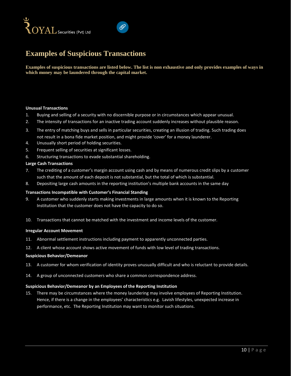



### **Examples of Suspicious Transactions**

**Examples of suspicious transactions are listed below. The list is non exhaustive and only provides examples of ways in which money may be laundered through the capital market.**

#### **Unusual Transactions**

- 1. Buying and selling of a security with no discernible purpose or in circumstances which appear unusual.
- 2. The intensity of transactions for an inactive trading account suddenly increases without plausible reason.
- 3. The entry of matching buys and sells in particular securities, creating an illusion of trading. Such trading does not result in a bona fide market position, and might provide 'cover' for a money launderer.
- 4. Unusually short period of holding securities.
- 5. Frequent selling of securities at significant losses.
- 6. Structuring transactions to evade substantial shareholding.

#### **Large Cash Transactions**

- 7. The crediting of a customer's margin account using cash and by means of numerous credit slips by a customer such that the amount of each deposit is not substantial, but the total of which is substantial.
- 8. Depositing large cash amounts in the reporting institution's multiple bank accounts in the same day

#### **Transactions Incompatible with Customer's Financial Standing**

- 9. A customer who suddenly starts making investments in large amounts when it is known to the Reporting Institution that the customer does not have the capacity to do so.
- 10. Transactions that cannot be matched with the investment and income levels of the customer.

#### **Irregular Account Movement**

- 11. Abnormal settlement instructions including payment to apparently unconnected parties.
- 12. A client whose account shows active movement of funds with low level of trading transactions.

#### **Suspicious Behavior/Demeanor**

- 13. A customer for whom verification of identity proves unusually difficult and who is reluctant to provide details.
- 14. A group of unconnected customers who share a common correspondence address.

#### **Suspicious Behavior/Demeanor by an Employees of the Reporting Institution**

15. There may be circumstances where the money laundering may involve employees of Reporting Institution. Hence, if there is a change in the employees' characteristics e.g. Lavish lifestyles, unexpected increase in performance, etc. The Reporting Institution may want to monitor such situations.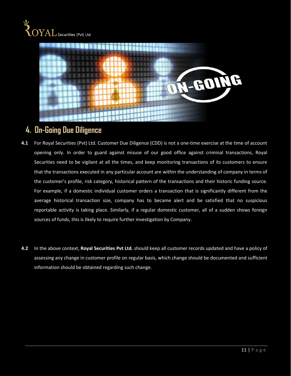

# **4. On‐Going Due Diligence**

- **4.1** For Royal Securities (Pvt) Ltd. Customer Due Diligence (CDD) is not a one-time exercise at the time of account opening only. In order to guard against misuse of our good office against criminal transactions, Royal Securities need to be vigilant at all the times, and keep monitoring transactions of its customers to ensure that the transactions executed in any particular account are within the understanding of company in terms of the customer's profile, risk category, historical pattern of the transactions and their historic funding source. For example, if a domestic individual customer orders a transaction that is significantly different from the average historical transaction size, company has to became alert and be satisfied that no suspicious reportable activity is taking place. Similarly, if a regular domestic customer, all of a sudden shows foreign sources of funds, this is likely to require further investigation by Company.
- **4.2** In the above context, **Royal Securities Pvt Ltd.** should keep all customer records updated and have a policy of assessing any change in customer profile on regular basis, which change should be documented and sufficient information should be obtained regarding such change.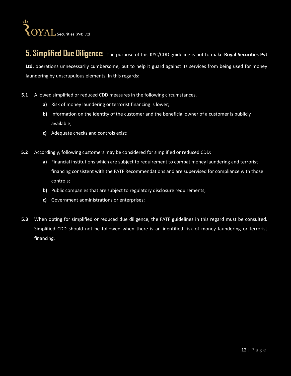

# **5. Simplified Due Diligence:** The purpose of this KYC/CDD guideline is not to make **Royal Securities Pvt**

**Ltd.** operations unnecessarily cumbersome, but to help it guard against its services from being used for money laundering by unscrupulous elements. In this regards:

- **5.1** Allowed simplified or reduced CDD measures in the following circumstances.
	- **a)** Risk of money laundering or terrorist financing is lower;
	- **b)** Information on the identity of the customer and the beneficial owner of a customer is publicly available;
	- **c)** Adequate checks and controls exist;
- **5.2** Accordingly, following customers may be considered for simplified or reduced CDD:
	- **a)** Financial institutions which are subject to requirement to combat money laundering and terrorist financing consistent with the FATF Recommendations and are supervised for compliance with those controls;
	- **b)** Public companies that are subject to regulatory disclosure requirements;
	- **c)** Government administrations or enterprises;
- **5.3** When opting for simplified or reduced due diligence, the FATF guidelines in this regard must be consulted. Simplified CDD should not be followed when there is an identified risk of money laundering or terrorist financing.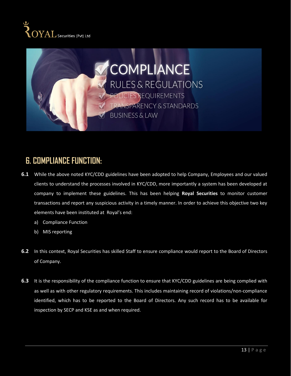



# **6. COMPLIANCE FUNCTION:**

- **6.1** While the above noted KYC/CDD guidelines have been adopted to help Company, Employees and our valued clients to understand the processes involved in KYC/CDD, more importantly a system has been developed at company to implement these guidelines. This has been helping **Royal Securities** to monitor customer transactions and report any suspicious activity in a timely manner. In order to achieve this objective two key elements have been instituted at Royal's end:
	- a) Compliance Function
	- b) MIS reporting
- **6.2** In this context, Royal Securities has skilled Staff to ensure compliance would report to the Board of Directors of Company.
- **6.3** It is the responsibility of the compliance function to ensure that KYC/CDD guidelines are being complied with as well as with other regulatory requirements. This includes maintaining record of violations/non‐compliance identified, which has to be reported to the Board of Directors. Any such record has to be available for inspection by SECP and KSE as and when required.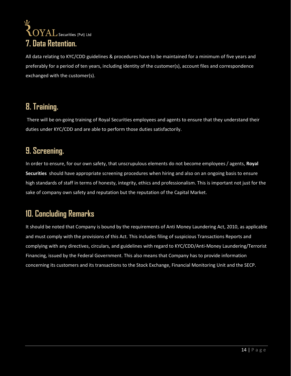# $\boldsymbol{\Omega}$ **2** OYAL securities (Pvt) Ltd<br>**7. Data Retention.**

All data relating to KYC/CDD guidelines & procedures have to be maintained for a minimum of five years and preferably for a period of ten years, including identity of the customer(s), account files and correspondence exchanged with the customer(s).

# **8. Training.**

There will be on‐going training of Royal Securities employees and agents to ensure that they understand their duties under KYC/CDD and are able to perform those duties satisfactorily.

# **9. Screening.**

In order to ensure, for our own safety, that unscrupulous elements do not become employees / agents, **Royal Securities** should have appropriate screening procedures when hiring and also on an ongoing basis to ensure high standards of staff in terms of honesty, integrity, ethics and professionalism. This is important not just for the sake of company own safety and reputation but the reputation of the Capital Market.

# **10. Concluding Remarks**

It should be noted that Company is bound by the requirements of Anti Money Laundering Act, 2010, as applicable and must comply with the provisions of this Act. This includes filing of suspicious Transactions Reports and complying with any directives, circulars, and guidelines with regard to KYC/CDD/Anti‐Money Laundering/Terrorist Financing, issued by the Federal Government. This also means that Company has to provide information concerning its customers and its transactions to the Stock Exchange, Financial Monitoring Unit and the SECP.